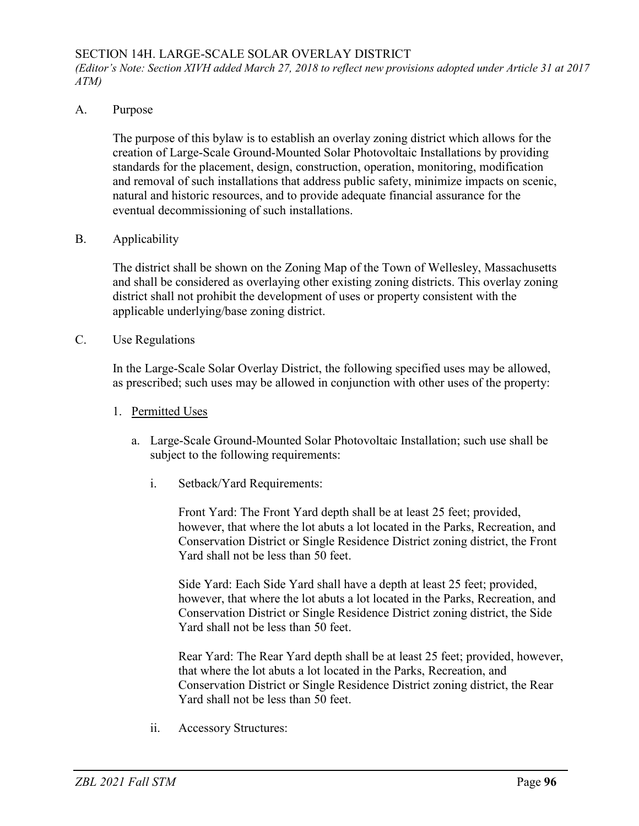## SECTION 14H. LARGE-SCALE SOLAR OVERLAY DISTRICT

*(Editor's Note: Section XIVH added March 27, 2018 to reflect new provisions adopted under Article 31 at 2017 ATM)*

## A. Purpose

The purpose of this bylaw is to establish an overlay zoning district which allows for the creation of Large-Scale Ground-Mounted Solar Photovoltaic Installations by providing standards for the placement, design, construction, operation, monitoring, modification and removal of such installations that address public safety, minimize impacts on scenic, natural and historic resources, and to provide adequate financial assurance for the eventual decommissioning of such installations.

B. Applicability

The district shall be shown on the Zoning Map of the Town of Wellesley, Massachusetts and shall be considered as overlaying other existing zoning districts. This overlay zoning district shall not prohibit the development of uses or property consistent with the applicable underlying/base zoning district.

C. Use Regulations

In the Large-Scale Solar Overlay District, the following specified uses may be allowed, as prescribed; such uses may be allowed in conjunction with other uses of the property:

- 1. Permitted Uses
	- a. Large-Scale Ground-Mounted Solar Photovoltaic Installation; such use shall be subject to the following requirements:
		- i. Setback/Yard Requirements:

Front Yard: The Front Yard depth shall be at least 25 feet; provided, however, that where the lot abuts a lot located in the Parks, Recreation, and Conservation District or Single Residence District zoning district, the Front Yard shall not be less than 50 feet.

Side Yard: Each Side Yard shall have a depth at least 25 feet; provided, however, that where the lot abuts a lot located in the Parks, Recreation, and Conservation District or Single Residence District zoning district, the Side Yard shall not be less than 50 feet.

Rear Yard: The Rear Yard depth shall be at least 25 feet; provided, however, that where the lot abuts a lot located in the Parks, Recreation, and Conservation District or Single Residence District zoning district, the Rear Yard shall not be less than 50 feet.

ii. Accessory Structures: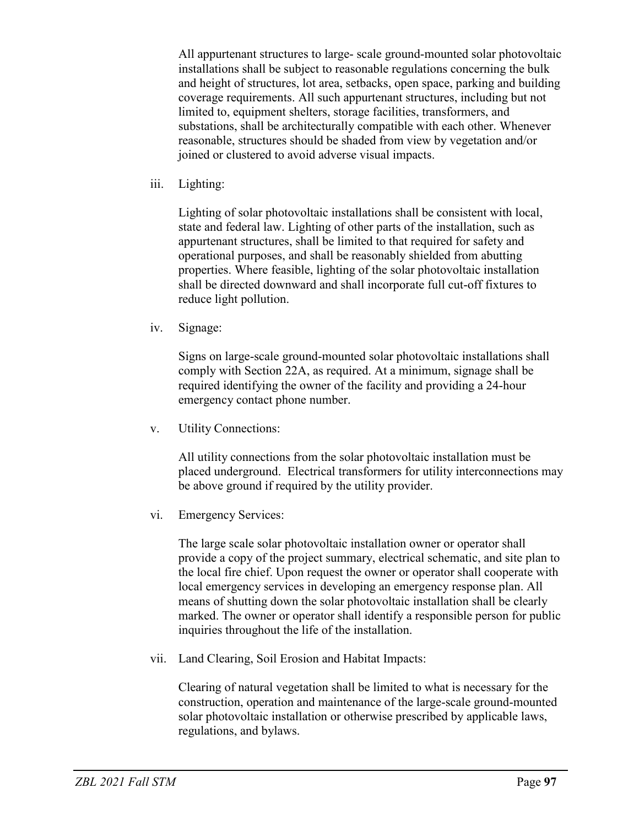All appurtenant structures to large- scale ground-mounted solar photovoltaic installations shall be subject to reasonable regulations concerning the bulk and height of structures, lot area, setbacks, open space, parking and building coverage requirements. All such appurtenant structures, including but not limited to, equipment shelters, storage facilities, transformers, and substations, shall be architecturally compatible with each other. Whenever reasonable, structures should be shaded from view by vegetation and/or joined or clustered to avoid adverse visual impacts.

iii. Lighting:

Lighting of solar photovoltaic installations shall be consistent with local, state and federal law. Lighting of other parts of the installation, such as appurtenant structures, shall be limited to that required for safety and operational purposes, and shall be reasonably shielded from abutting properties. Where feasible, lighting of the solar photovoltaic installation shall be directed downward and shall incorporate full cut-off fixtures to reduce light pollution.

iv. Signage:

Signs on large-scale ground-mounted solar photovoltaic installations shall comply with Section 22A, as required. At a minimum, signage shall be required identifying the owner of the facility and providing a 24-hour emergency contact phone number.

v. Utility Connections:

All utility connections from the solar photovoltaic installation must be placed underground. Electrical transformers for utility interconnections may be above ground if required by the utility provider.

vi. Emergency Services:

The large scale solar photovoltaic installation owner or operator shall provide a copy of the project summary, electrical schematic, and site plan to the local fire chief. Upon request the owner or operator shall cooperate with local emergency services in developing an emergency response plan. All means of shutting down the solar photovoltaic installation shall be clearly marked. The owner or operator shall identify a responsible person for public inquiries throughout the life of the installation.

vii. Land Clearing, Soil Erosion and Habitat Impacts:

Clearing of natural vegetation shall be limited to what is necessary for the construction, operation and maintenance of the large-scale ground-mounted solar photovoltaic installation or otherwise prescribed by applicable laws, regulations, and bylaws.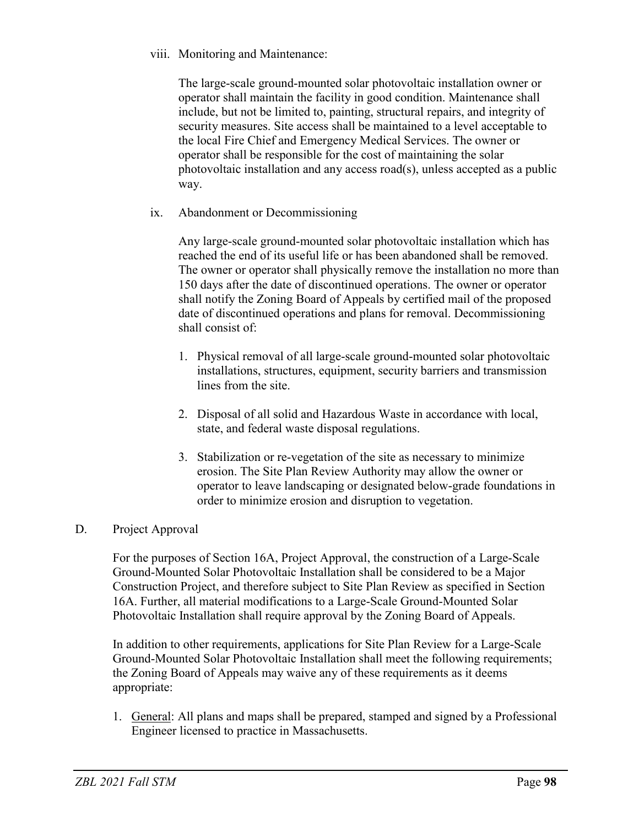viii. Monitoring and Maintenance:

The large-scale ground-mounted solar photovoltaic installation owner or operator shall maintain the facility in good condition. Maintenance shall include, but not be limited to, painting, structural repairs, and integrity of security measures. Site access shall be maintained to a level acceptable to the local Fire Chief and Emergency Medical Services. The owner or operator shall be responsible for the cost of maintaining the solar photovoltaic installation and any access road(s), unless accepted as a public way.

ix. Abandonment or Decommissioning

Any large-scale ground-mounted solar photovoltaic installation which has reached the end of its useful life or has been abandoned shall be removed. The owner or operator shall physically remove the installation no more than 150 days after the date of discontinued operations. The owner or operator shall notify the Zoning Board of Appeals by certified mail of the proposed date of discontinued operations and plans for removal. Decommissioning shall consist of:

- 1. Physical removal of all large-scale ground-mounted solar photovoltaic installations, structures, equipment, security barriers and transmission lines from the site.
- 2. Disposal of all solid and Hazardous Waste in accordance with local, state, and federal waste disposal regulations.
- 3. Stabilization or re-vegetation of the site as necessary to minimize erosion. The Site Plan Review Authority may allow the owner or operator to leave landscaping or designated below-grade foundations in order to minimize erosion and disruption to vegetation.
- D. Project Approval

For the purposes of Section 16A, Project Approval, the construction of a Large-Scale Ground-Mounted Solar Photovoltaic Installation shall be considered to be a Major Construction Project, and therefore subject to Site Plan Review as specified in Section 16A. Further, all material modifications to a Large-Scale Ground-Mounted Solar Photovoltaic Installation shall require approval by the Zoning Board of Appeals.

In addition to other requirements, applications for Site Plan Review for a Large-Scale Ground-Mounted Solar Photovoltaic Installation shall meet the following requirements; the Zoning Board of Appeals may waive any of these requirements as it deems appropriate:

1. General: All plans and maps shall be prepared, stamped and signed by a Professional Engineer licensed to practice in Massachusetts.